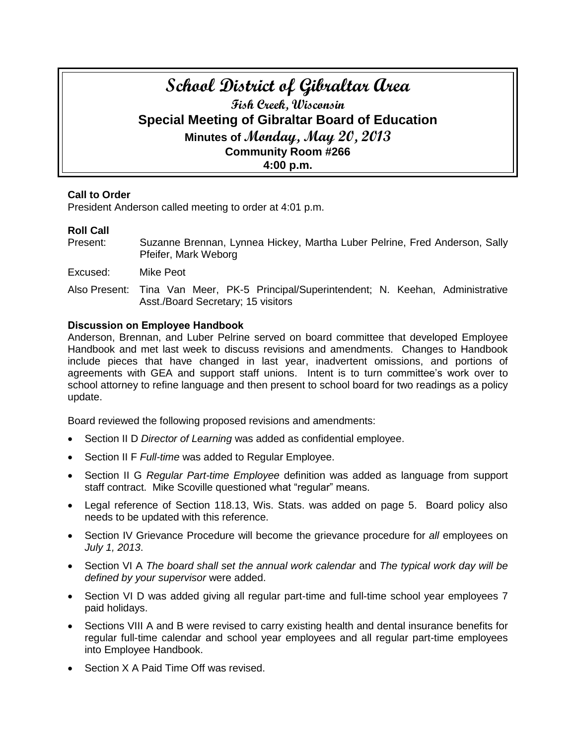# **School District of Gibraltar Area Fish Creek, Wisconsin Special Meeting of Gibraltar Board of Education Minutes of Monday, May 20, 2013 Community Room #266 4:00 p.m.**

## **Call to Order**

President Anderson called meeting to order at 4:01 p.m.

# **Roll Call**

- Present: Suzanne Brennan, Lynnea Hickey, Martha Luber Pelrine, Fred Anderson, Sally Pfeifer, Mark Weborg
- Excused: Mike Peot
- Also Present: Tina Van Meer, PK-5 Principal/Superintendent; N. Keehan, Administrative Asst./Board Secretary; 15 visitors

## **Discussion on Employee Handbook**

Anderson, Brennan, and Luber Pelrine served on board committee that developed Employee Handbook and met last week to discuss revisions and amendments. Changes to Handbook include pieces that have changed in last year, inadvertent omissions, and portions of agreements with GEA and support staff unions. Intent is to turn committee's work over to school attorney to refine language and then present to school board for two readings as a policy update.

Board reviewed the following proposed revisions and amendments:

- Section II D *Director of Learning* was added as confidential employee.
- Section II F *Full-time* was added to Regular Employee.
- Section II G *Regular Part-time Employee* definition was added as language from support staff contract. Mike Scoville questioned what "regular" means.
- Legal reference of Section 118.13, Wis. Stats. was added on page 5. Board policy also needs to be updated with this reference.
- Section IV Grievance Procedure will become the grievance procedure for *all* employees on *July 1, 2013*.
- Section VI A *The board shall set the annual work calendar* and *The typical work day will be defined by your supervisor* were added.
- Section VI D was added giving all regular part-time and full-time school year employees 7 paid holidays.
- Sections VIII A and B were revised to carry existing health and dental insurance benefits for regular full-time calendar and school year employees and all regular part-time employees into Employee Handbook.
- Section X A Paid Time Off was revised.